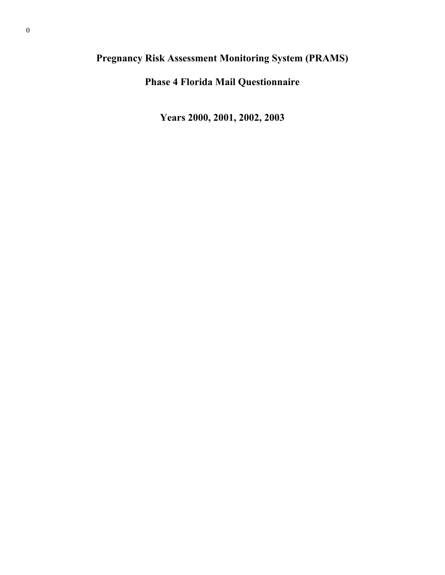# **Pregnancy Risk Assessment Monitoring System (PRAMS)**

**Phase 4 Florida Mail Questionnaire** 

**Years 2000, 2001, 2002, 2003**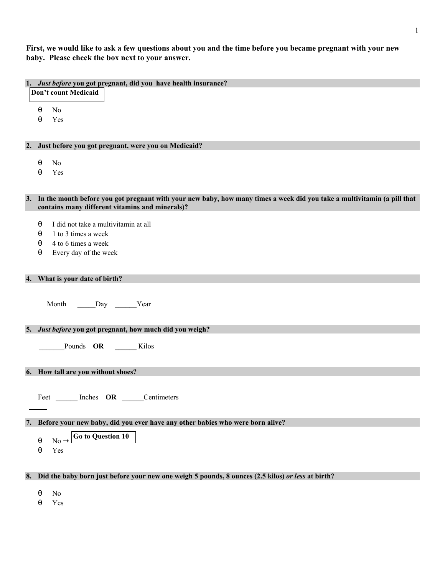**First, we would like to ask a few questions about you and the time before you became pregnant with your new baby. Please check the box next to your answer.** 

|    | 1. Just before you got pregnant, did you have health insurance?                                                            |
|----|----------------------------------------------------------------------------------------------------------------------------|
|    | Don't count Medicaid                                                                                                       |
|    |                                                                                                                            |
|    | N <sub>o</sub><br>$\theta$                                                                                                 |
|    | $\theta$<br>Yes                                                                                                            |
|    |                                                                                                                            |
|    |                                                                                                                            |
|    |                                                                                                                            |
|    | 2. Just before you got pregnant, were you on Medicaid?                                                                     |
|    |                                                                                                                            |
|    | N <sub>0</sub><br>θ                                                                                                        |
|    | Yes<br>$\theta$                                                                                                            |
|    |                                                                                                                            |
|    |                                                                                                                            |
|    | 3. In the month before you got pregnant with your new baby, how many times a week did you take a multivitamin (a pill that |
|    | contains many different vitamins and minerals)?                                                                            |
|    |                                                                                                                            |
|    | I did not take a multivitamin at all<br>$\theta$                                                                           |
|    | 1 to 3 times a week<br>θ                                                                                                   |
|    | 4 to 6 times a week<br>θ                                                                                                   |
|    | Every day of the week<br>θ                                                                                                 |
|    |                                                                                                                            |
|    |                                                                                                                            |
|    |                                                                                                                            |
|    | 4. What is your date of birth?                                                                                             |
|    |                                                                                                                            |
|    |                                                                                                                            |
|    | Month Day Year                                                                                                             |
|    |                                                                                                                            |
|    |                                                                                                                            |
|    | 5. Just before you got pregnant, how much did you weigh?                                                                   |
|    |                                                                                                                            |
|    | Pounds OR Kilos                                                                                                            |
|    |                                                                                                                            |
|    |                                                                                                                            |
|    | 6. How tall are you without shoes?                                                                                         |
|    |                                                                                                                            |
|    |                                                                                                                            |
|    | Feet Inches OR Centimeters                                                                                                 |
|    |                                                                                                                            |
|    |                                                                                                                            |
|    | 7. Before your new baby, did you ever have any other babies who were born alive?                                           |
|    | <b>Go to Question 10</b>                                                                                                   |
|    | $No -$<br>$\theta$                                                                                                         |
|    | Yes<br>$\theta$                                                                                                            |
|    |                                                                                                                            |
|    |                                                                                                                            |
| 8. | Did the baby born just before your new one weigh 5 pounds, 8 ounces (2.5 kilos) or less at birth?                          |
|    |                                                                                                                            |
|    | N <sub>0</sub><br>$\theta$                                                                                                 |
|    | Yes<br>θ                                                                                                                   |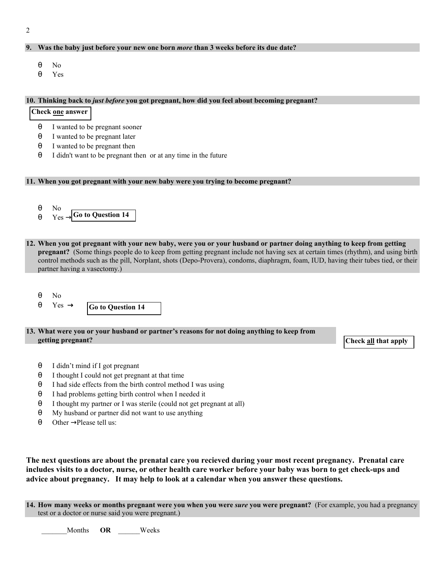## 2

## **9. Was the baby just before your new one born** *more* **than 3 weeks before its due date?**

- θ No
- θ Yes

#### **10. Thinking back to** *just before* **you got pregnant, how did you feel about becoming pregnant?**

## **Check one answer**

- θ I wanted to be pregnant sooner
- θ I wanted to be pregnant later
- θ I wanted to be pregnant then
- θ I didn't want to be pregnant then or at any time in the future

## **11. When you got pregnant with your new baby were you trying to become pregnant?**



- **12. When you got pregnant with your new baby, were you or your husband or partner doing anything to keep from getting pregnant?** (Some things people do to keep from getting pregnant include not having sex at certain times (rhythm), and using birth control methods such as the pill, Norplant, shots (Depo-Provera), condoms, diaphragm, foam, IUD, having their tubes tied, or their partner having a vasectomy.)
	- θ No
	- **Go to Question 14**  $θ$  Yes  $\rightarrow$
- **13. What were you or your husband or partner's reasons for not doing anything to keep from getting pregnant?** Check all that apply **Check** all that apply **Check** all that apply **Check** all that apply

- θ I didn't mind if I got pregnant
- θ I thought I could not get pregnant at that time
- θ I had side effects from the birth control method I was using
- θ I had problems getting birth control when I needed it
- θ I thought my partner or I was sterile (could not get pregnant at all)
- θ My husband or partner did not want to use anything
- $\theta$  Other  $\rightarrow$  Please tell us:

**The next questions are about the prenatal care you recieved during your most recent pregnancy. Prenatal care includes visits to a doctor, nurse, or other health care worker before your baby was born to get check-ups and advice about pregnancy. It may help to look at a calendar when you answer these questions.**

**14. How many weeks or months pregnant were you when you were** *sure* **you were pregnant?** (For example, you had a pregnancy test or a doctor or nurse said you were pregnant.)

Months **OR** Weeks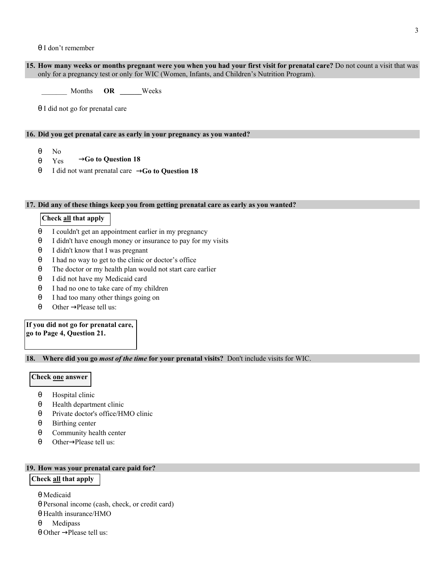## θ I don't remember

**15. How many weeks or months pregnant were you when you had your first visit for prenatal care?** Do not count a visit that was only for a pregnancy test or only for WIC (Women, Infants, and Children's Nutrition Program).

\_\_\_\_\_\_\_ Months **OR \_\_\_\_\_\_**Weeks

θ I did not go for prenatal care

## **16. Did you get prenatal care as early in your pregnancy as you wanted?**

- θ No
- →**Go to Question 18** θ Yes
- θ I did not want prenatal care →Go to Question 18

#### **17. Did any of these things keep you from getting prenatal care as early as you wanted?**

## **Check all that apply**

- θ I couldn't get an appointment earlier in my pregnancy
- θ I didn't have enough money or insurance to pay for my visits
- θ I didn't know that I was pregnant
- θ I had no way to get to the clinic or doctor's office
- θ The doctor or my health plan would not start care earlier
- θ I did not have my Medicaid card
- θ I had no one to take care of my children
- θ I had too many other things going on
- $θ$  Other  $\rightarrow$  Please tell us:

## **If you did not go for prenatal care, go to Page 4, Question 21.**

**18. Where did you go** *most of the time* **for your prenatal visits?** Don't include visits for WIC.

#### **Check one answer**

- θ Hospital clinic
- θ Health department clinic
- θ Private doctor's office/HMO clinic
- θ Birthing center
- θ Community health center
- $\theta$  Other $\rightarrow$ Please tell us:

## **19. How was your prenatal care paid for?**

## **Check all that apply**

θ Medicaid

- θ Personal income (cash, check, or credit card)
- θ Health insurance/HMO
- θ Medipass
- $\theta$  Other  $\rightarrow$  Please tell us: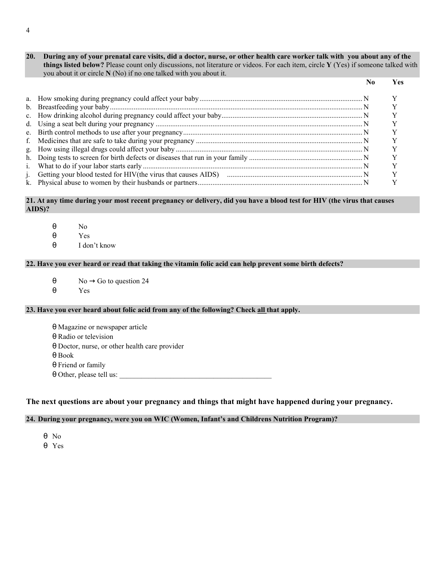**20. During any of your prenatal care visits, did a doctor, nurse, or other health care worker talk with you about any of the things listed below?** Please count only discussions, not literature or videos. For each item, circle **Y** (Yes) if someone talked with you about it or circle **N** (No) if no one talked with you about it.

|  | Yes |
|--|-----|
|  |     |
|  |     |
|  |     |
|  |     |
|  |     |
|  |     |
|  |     |
|  |     |
|  |     |
|  |     |
|  |     |

## **21. At any time during your most recent pregnancy or delivery, did you have a blood test for HIV (the virus that causes AIDS)?**

- θ No
- θ Yes
- θ I don't know

## **22. Have you ever heard or read that taking the vitamin folic acid can help prevent some birth defects?**

- $\theta$  No  $\rightarrow$  Go to question 24
- θ Yes

## **23. Have you ever heard about folic acid from any of the following? Check all that apply.**

- θ Magazine or newspaper article
- θ Radio or television
- θ Doctor, nurse, or other health care provider
- θ Book
- θ Friend or family
- $\theta$  Other, please tell us:

## **The next questions are about your pregnancy and things that might have happened during your pregnancy.**

## **24. During your pregnancy, were you on WIC (Women, Infant's and Childrens Nutrition Program)?**

- θ No
- θ Yes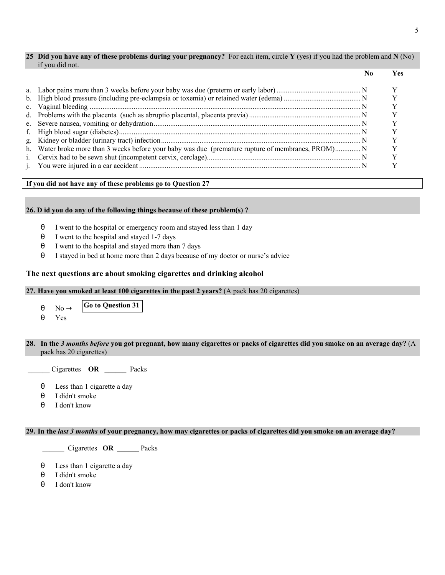## **25 Did you have any of these problems during your pregnancy?** For each item, circle **Y** (yes) if you had the problem and **N** (No) if you did not.

|  | Ves |
|--|-----|
|  |     |
|  |     |
|  |     |
|  |     |
|  |     |
|  |     |
|  |     |
|  |     |
|  |     |
|  |     |
|  |     |

## **If you did not have any of these problems go to Question 27**

## **26. D id you do any of the following things because of these problem(s) ?**

- θ I went to the hospital or emergency room and stayed less than 1 day
- θ I went to the hospital and stayed 1-7 days
- θ I went to the hospital and stayed more than 7 days
- θ I stayed in bed at home more than 2 days because of my doctor or nurse's advice

## **The next questions are about smoking cigarettes and drinking alcohol**

## **27. Have you smoked at least 100 cigarettes in the past 2 years?** (A pack has 20 cigarettes)

- $\theta$  No  $\rightarrow$  Go to Question 31
- θ Yes

 $\overline{a}$ 

## **28. In the** *3 months before* **you got pregnant, how many cigarettes or packs of cigarettes did you smoke on an average day?** (A pack has 20 cigarettes)

\_\_\_\_\_\_ Cigarettes **OR \_\_\_\_\_\_** Packs

- θ Less than 1 cigarette a day
- θ I didn't smoke
- θ I don't know

## **29. In the** *last 3 months* **of your pregnancy, how may cigarettes or packs of cigarettes did you smoke on an average day?**

\_\_\_\_\_\_ Cigarettes **OR \_\_\_\_\_\_** Packs

- θ Less than 1 cigarette a day
- θ I didn't smoke
- θ I don't know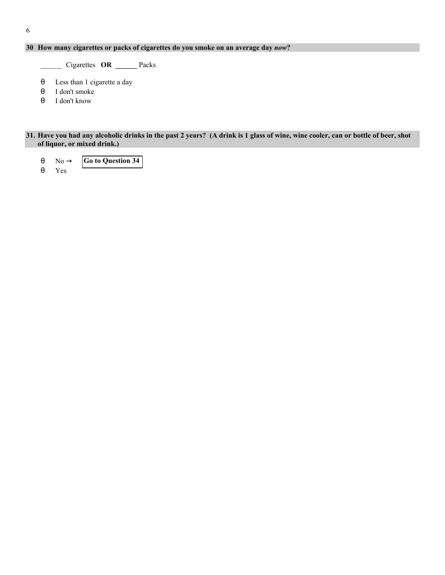## **30 How many cigarettes or packs of cigarettes do you smoke on an average day** *now***?**

\_\_\_\_\_\_ Cigarettes **OR \_\_\_\_\_\_** Packs

- θ Less than 1 cigarette a day
- θ I don't smoke
- θ I don't know

## **31. Have you had any alcoholic drinks in the past 2 years? (A drink is 1 glass of wine, wine cooler, can or bottle of beer, shot of liquor, or mixed drink.)**

- **Go to Question 34**  $\theta$  No  $\rightarrow$
- θ Yes
-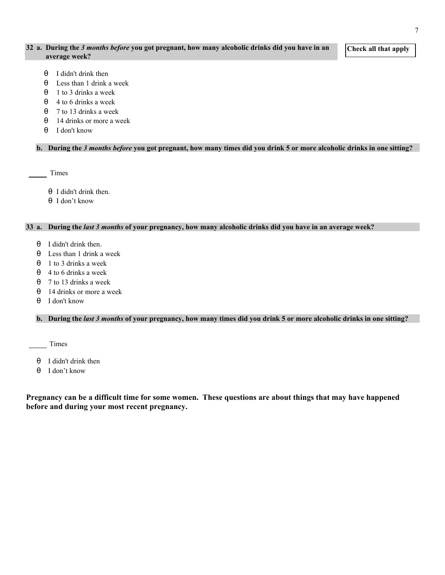## **32 a. During the** *3 months before* **you got pregnant, how many alcoholic drinks did you have in an average week?**

**Check all that apply** 

- θ I didn't drink then
- θ Less than 1 drink a week
- θ 1 to 3 drinks a week
- $\theta$  4 to 6 drinks a week
- θ 7 to 13 drinks a week
- θ 14 drinks or more a week
- θ I don't know

## **b. During the** *3 months before* **you got pregnant, how many times did you drink 5 or more alcoholic drinks in one sitting?**

Times

- θ I didn't drink then.
- θ I don't know

## **33 a. During the** *last 3 months* **of your pregnancy, how many alcoholic drinks did you have in an average week?**

- θ I didn't drink then.
- θ Less than 1 drink a week
- $\theta$  1 to 3 drinks a week
- $\theta$  4 to 6 drinks a week
- $\theta$  7 to 13 drinks a week
- θ 14 drinks or more a week
- θ I don't know

**b. During the** *last 3 months* **of your pregnancy, how many times did you drink 5 or more alcoholic drinks in one sitting?** 

Times

- θ I didn't drink then
- θ I don't know

**Pregnancy can be a difficult time for some women. These questions are about things that may have happened before and during your most recent pregnancy.**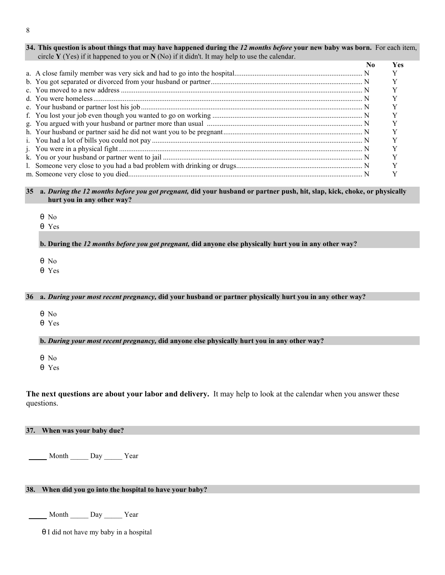| 34. This question is about things that may have happened during the 12 months before your new baby was born. For each item, |  |
|-----------------------------------------------------------------------------------------------------------------------------|--|
| circle Y (Yes) if it happened to you or N (No) if it didn't. It may help to use the calendar.                               |  |

|  | Yes |
|--|-----|
|  |     |
|  |     |
|  |     |
|  |     |
|  |     |
|  |     |
|  |     |
|  |     |
|  |     |
|  |     |
|  |     |
|  |     |
|  |     |

**35 a.** *During the 12 months before you got pregnant,* **did your husband or partner push, hit, slap, kick, choke, or physically hurt you in any other way?**

- θ No
- θ Yes

**b. During the** *12 months before you got pregnant,* **did anyone else physically hurt you in any other way?** 

θ No

θ Yes

## **36 a.** *During your most recent pregnancy,* **did your husband or partner physically hurt you in any other way?**

θ No

θ Yes

## **b.** *During your most recent pregnancy,* **did anyone else physically hurt you in any other way?**

θ No

θ Yes

**The next questions are about your labor and delivery.** It may help to look at the calendar when you answer these questions.

## **37. When was your baby due?**

Month \_\_\_\_\_\_ Day \_\_\_\_\_ Year

## **38. When did you go into the hospital to have your baby?**

Month \_\_\_\_\_ Day \_\_\_\_\_ Year

θ I did not have my baby in a hospital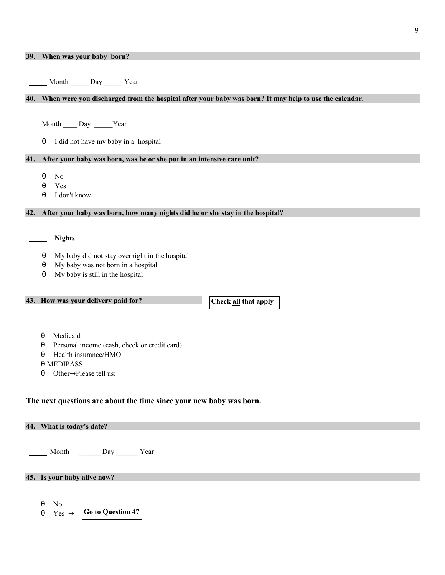|     | 39. When was your baby born?                                                                          |
|-----|-------------------------------------------------------------------------------------------------------|
|     |                                                                                                       |
|     | Month Day Year                                                                                        |
|     |                                                                                                       |
| 40. | When were you discharged from the hospital after your baby was born? It may help to use the calendar. |
|     |                                                                                                       |
|     | Month ____ Day _____Year                                                                              |
|     | I did not have my baby in a hospital<br>θ                                                             |
|     |                                                                                                       |
| 41. | After your baby was born, was he or she put in an intensive care unit?                                |
|     | N <sub>0</sub><br>θ                                                                                   |
|     | Yes<br>θ                                                                                              |
|     | I don't know<br>$\theta$                                                                              |
| 42. | After your baby was born, how many nights did he or she stay in the hospital?                         |
|     |                                                                                                       |
|     |                                                                                                       |
|     | <b>Nights</b>                                                                                         |
|     | My baby did not stay overnight in the hospital<br>$\theta$                                            |
|     | My baby was not born in a hospital<br>θ                                                               |
|     | My baby is still in the hospital<br>$\theta$                                                          |
|     |                                                                                                       |
|     | 43. How was your delivery paid for?<br>Check all that apply                                           |
|     |                                                                                                       |
|     |                                                                                                       |
|     | Medicaid<br>θ                                                                                         |
|     | Personal income (cash, check or credit card)<br>θ                                                     |
|     | Health insurance/HMO<br>θ<br>$\theta$ MEDIPASS                                                        |
|     | Other->Please tell us:<br>θ                                                                           |
|     |                                                                                                       |
|     |                                                                                                       |
|     | The next questions are about the time since your new baby was born.                                   |
|     |                                                                                                       |
|     | 44. What is today's date?                                                                             |
|     |                                                                                                       |
|     | Month Day Year                                                                                        |
|     |                                                                                                       |
|     | 45. Is your baby alive now?                                                                           |
|     |                                                                                                       |
|     | N <sub>0</sub><br>$\theta$                                                                            |
|     | Go to Question 47                                                                                     |
|     | $\theta$<br>Yes $\rightarrow$                                                                         |
|     |                                                                                                       |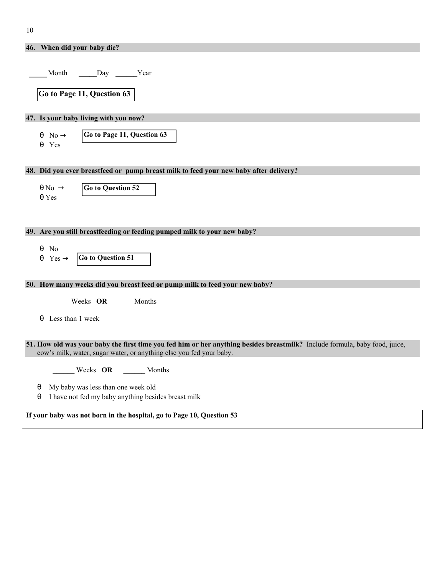| 46. When did your baby die?                                                                                                                                                                        |  |  |
|----------------------------------------------------------------------------------------------------------------------------------------------------------------------------------------------------|--|--|
|                                                                                                                                                                                                    |  |  |
| Month Day Year                                                                                                                                                                                     |  |  |
|                                                                                                                                                                                                    |  |  |
| Go to Page 11, Question 63                                                                                                                                                                         |  |  |
|                                                                                                                                                                                                    |  |  |
| 47. Is your baby living with you now?                                                                                                                                                              |  |  |
| Go to Page 11, Question 63<br>$\theta \quad No \rightarrow$                                                                                                                                        |  |  |
| $\theta$ Yes                                                                                                                                                                                       |  |  |
|                                                                                                                                                                                                    |  |  |
| 48. Did you ever breastfeed or pump breast milk to feed your new baby after delivery?                                                                                                              |  |  |
|                                                                                                                                                                                                    |  |  |
| $\theta$ No $\rightarrow$<br><b>Go to Question 52</b>                                                                                                                                              |  |  |
| $\theta$ Yes                                                                                                                                                                                       |  |  |
|                                                                                                                                                                                                    |  |  |
| 49. Are you still breastfeeding or feeding pumped milk to your new baby?                                                                                                                           |  |  |
|                                                                                                                                                                                                    |  |  |
| $\theta$ No                                                                                                                                                                                        |  |  |
| Go to Question 51<br>$\theta$ Yes $\rightarrow$                                                                                                                                                    |  |  |
|                                                                                                                                                                                                    |  |  |
| 50. How many weeks did you breast feed or pump milk to feed your new baby?                                                                                                                         |  |  |
| Weeks OR Months                                                                                                                                                                                    |  |  |
|                                                                                                                                                                                                    |  |  |
| $\theta$ Less than 1 week                                                                                                                                                                          |  |  |
|                                                                                                                                                                                                    |  |  |
| 51. How old was your baby the first time you fed him or her anything besides breastmilk? Include formula, baby food, juice,<br>cow's milk, water, sugar water, or anything else you fed your baby. |  |  |
|                                                                                                                                                                                                    |  |  |
| Weeks OR ______ Months                                                                                                                                                                             |  |  |
| My baby was less than one week old<br>$\theta$                                                                                                                                                     |  |  |
| I have not fed my baby anything besides breast milk<br>θ                                                                                                                                           |  |  |
| If your baby was not born in the hospital, go to Page 10, Question 53                                                                                                                              |  |  |
|                                                                                                                                                                                                    |  |  |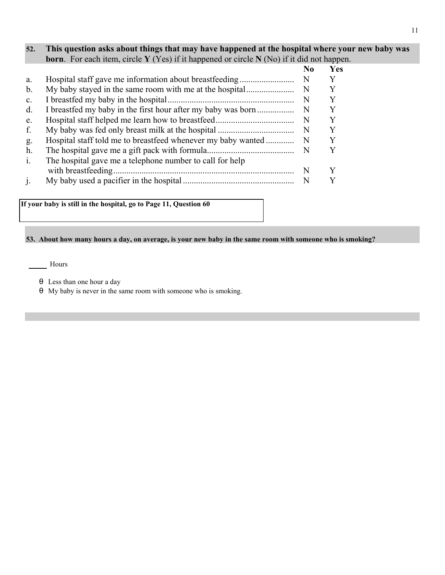## **52. This question asks about things that may have happened at the hospital where your new baby was born**. For each item, circle **Y** (Yes) if it happened or circle **N** (No) if it did not happen.

|                |                                                              | No | Yes |
|----------------|--------------------------------------------------------------|----|-----|
| a.             | Hospital staff gave me information about breastfeeding       | N  |     |
| b.             | My baby stayed in the same room with me at the hospital      | N  |     |
| $\mathbf{c}$ . |                                                              | N  |     |
| $d$ .          | I breastfed my baby in the first hour after my baby was born | N  |     |
| e.             |                                                              | N  | Y   |
| f.             |                                                              | -N | Y   |
| g.             | Hospital staff told me to breastfeed whenever my baby wanted | -N | Y   |
| h.             |                                                              | -N |     |
| $\mathbf{i}$ . | The hospital gave me a telephone number to call for help     |    |     |
|                |                                                              | N  |     |
|                |                                                              | N  |     |

**If your baby is still in the hospital, go to Page 11, Question 60**

## **53. About how many hours a day, on average, is your new baby in the same room with someone who is smoking?**

Hours

- θ Less than one hour a day
- θ My baby is never in the same room with someone who is smoking.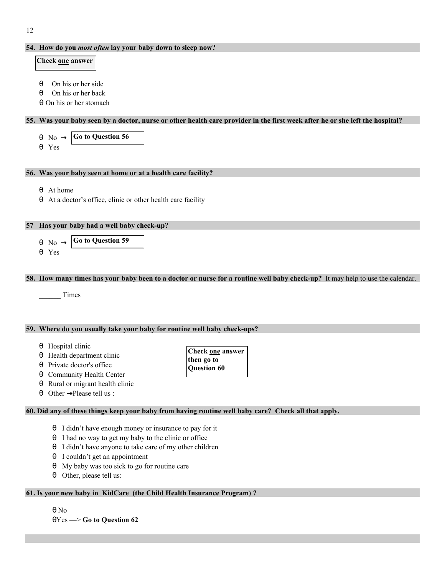## **54. How do you** *most often* **lay your baby down to sleep now?**

## **Check one answer**

- θ On his or her side
- θ On his or her back
- θ On his or her stomach

## **55. Was your baby seen by a doctor, nurse or other health care provider in the first week after he or she left the hospital?**

**Go to Question 56** θ No → θ Yes

## **56. Was your baby seen at home or at a health care facility?**

- θ At home
- θ At a doctor's office, clinic or other health care facility

## **57 Has your baby had a well baby check-up?**

$$
\begin{array}{c}\n\theta \quad \text{No} \rightarrow \boxed{\text{Go to Question 59}} \\
\theta \quad \text{Yes}\n\end{array}
$$

## **58. How many times has your baby been to a doctor or nurse for a routine well baby check-up?** It may help to use the calendar.

\_\_\_\_\_\_ Times

## **59. Where do you usually take your baby for routine well baby check-ups?**

- θ Hospital clinic
- θ Health department clinic
- θ Private doctor's office
- θ Community Health Center
- θ Rural or migrant health clinic
- $\theta$  Other  $\rightarrow$  Please tell us :

## **60. Did any of these things keep your baby from having routine well baby care? Check all that apply.**

- θ I didn't have enough money or insurance to pay for it
- θ I had no way to get my baby to the clinic or office
- θ I didn't have anyone to take care of my other children
- θ I couldn't get an appointment
- θ My baby was too sick to go for routine care
- θ Other, please tell us:\_\_\_\_\_\_\_\_\_\_\_\_\_\_\_\_

## **61. Is your new baby in KidCare (the Child Health Insurance Program) ?**

θ No

θYes —> **Go to Question 62**

- **Check one answer then go to Question 60**
-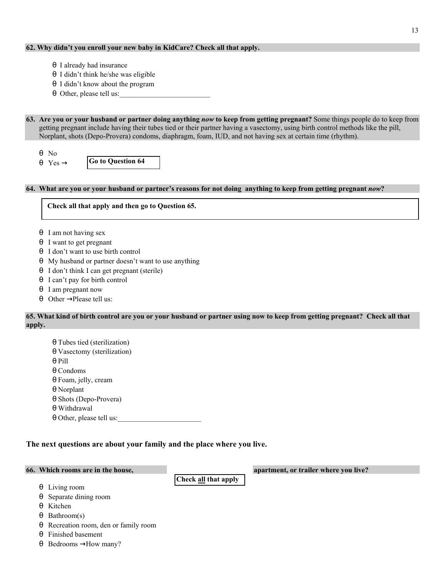## **62. Why didn't you enroll your new baby in KidCare? Check all that apply.**

- θ I already had insurance
- θ I didn't think he/she was eligible
- θ I didn't know about the program
- θ Other, please tell us:

**63. Are you or your husband or partner doing anything** *now* **to keep from getting pregnant?** Some things people do to keep from getting pregnant include having their tubes tied or their partner having a vasectomy, using birth control methods like the pill, Norplant, shots (Depo-Provera) condoms, diaphragm, foam, IUD, and not having sex at certain time (rhythm).

θ No  $\theta$  Yes  $\rightarrow$ 

**Go to Question 64**

## **64. What are you or your husband or partner's reasons for not doing anything to keep from getting pregnant** *now***?**

**Check all that apply and then go to Question 65.**

- θ I am not having sex
- θ I want to get pregnant
- θ I don't want to use birth control
- θ My husband or partner doesn't want to use anything
- θ I don't think I can get pregnant (sterile)
- θ I can't pay for birth control
- θ I am pregnant now
- θ Other  $\rightarrow$  Please tell us:

## **65. What kind of birth control are you or your husband or partner using now to keep from getting pregnant? Check all that apply.**

θ Tubes tied (sterilization) θ Vasectomy (sterilization) θ Pill θ Condoms θ Foam, jelly, cream θ Norplant θ Shots (Depo-Provera) θ Withdrawal θ Other, please tell us:

## **The next questions are about your family and the place where you live.**

**Check all that apply** 

**66. Which rooms are in the house, apartment, or trailer where you live?**

- θ Living room
- θ Separate dining room
- θ Kitchen
- θ Bathroom(s)
- θ Recreation room, den or family room
- θ Finished basement
- $\theta$  Bedrooms  $\rightarrow$  How many?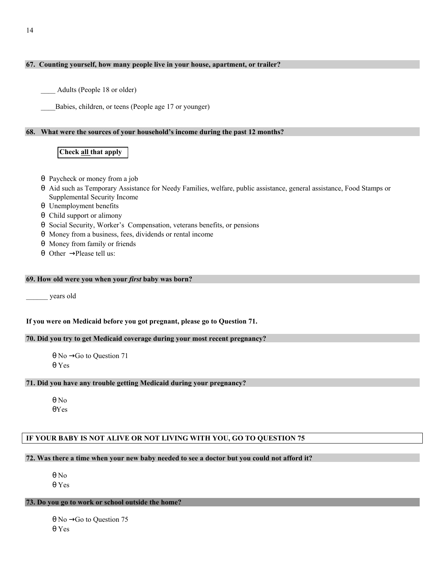## **67. Counting yourself, how many people live in your house, apartment, or trailer?**

Adults (People 18 or older)

Babies, children, or teens (People age 17 or younger)

## **68. What were the sources of your household's income during the past 12 months?**

## **Check all that apply**

- θ Paycheck or money from a job
- θ Aid such as Temporary Assistance for Needy Families, welfare, public assistance, general assistance, Food Stamps or Supplemental Security Income
- θ Unemployment benefits
- θ Child support or alimony
- θ Social Security, Worker's Compensation, veterans benefits, or pensions
- θ Money from a business, fees, dividends or rental income
- θ Money from family or friends
- $θ$  Other  $\rightarrow$  Please tell us:

## **69. How old were you when your** *first* **baby was born?**

\_\_\_\_\_\_ years old

## **If you were on Medicaid before you got pregnant, please go to Question 71.**

## **70. Did you try to get Medicaid coverage during your most recent pregnancy?**

θ No  $\rightarrow$  Go to Question 71 θ Yes

## **71. Did you have any trouble getting Medicaid during your pregnancy?**

θ No θYes

## **IF YOUR BABY IS NOT ALIVE OR NOT LIVING WITH YOU, GO TO QUESTION 75**

#### **72. Was there a time when your new baby needed to see a doctor but you could not afford it?**

θ No θ Yes

## **73. Do you go to work or school outside the home?**

θ No  $\rightarrow$  Go to Question 75 θ Yes